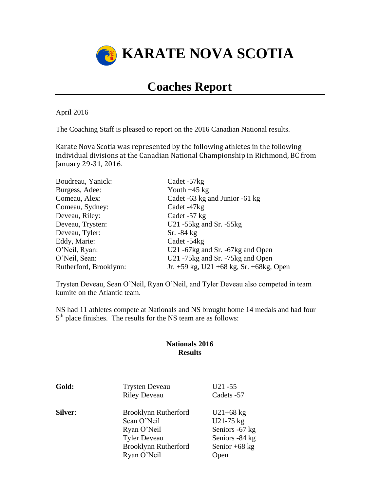

# **Coaches Report**

April 2016

The Coaching Staff is pleased to report on the 2016 Canadian National results.

Karate Nova Scotia was represented by the following athletes in the following individual divisions at the Canadian National Championship in Richmond, BC from January 29-31, 2016.

| Boudreau, Yanick:      | Cadet -57kg                                    |
|------------------------|------------------------------------------------|
| Burgess, Adee:         | Youth $+45$ kg                                 |
| Comeau, Alex:          | Cadet -63 kg and Junior -61 kg                 |
| Comeau, Sydney:        | Cadet -47kg                                    |
| Deveau, Riley:         | Cadet -57 kg                                   |
| Deveau, Trysten:       | U21 $-55$ kg and Sr. $-55$ kg                  |
| Deveau, Tyler:         | $Sr. -84 kg$                                   |
| Eddy, Marie:           | Cadet -54 kg                                   |
| O'Neil, Ryan:          | U21 -67kg and Sr. -67kg and Open               |
| O'Neil, Sean:          | U21 -75kg and Sr. -75kg and Open               |
| Rutherford, Brooklynn: | Jr. $+59$ kg, U21 $+68$ kg, Sr. $+68$ kg, Open |

Trysten Deveau, Sean O'Neil, Ryan O'Neil, and Tyler Deveau also competed in team kumite on the Atlantic team.

NS had 11 athletes compete at Nationals and NS brought home 14 medals and had four 5<sup>th</sup> place finishes. The results for the NS team are as follows:

### **Nationals 2016 Results**

| Gold:          | <b>Trysten Deveau</b><br><b>Riley Deveau</b>                                                                            | $U21 - 55$<br>Cadets -57                                                                |
|----------------|-------------------------------------------------------------------------------------------------------------------------|-----------------------------------------------------------------------------------------|
| <b>Silver:</b> | Brooklynn Rutherford<br>Sean O'Neil<br>Ryan O'Neil<br><b>Tyler Deveau</b><br><b>Brooklynn Rutherford</b><br>Ryan O'Neil | $U21+68$ kg<br>U21-75 kg<br>Seniors -67 kg<br>Seniors -84 kg<br>Senior $+68$ kg<br>Open |